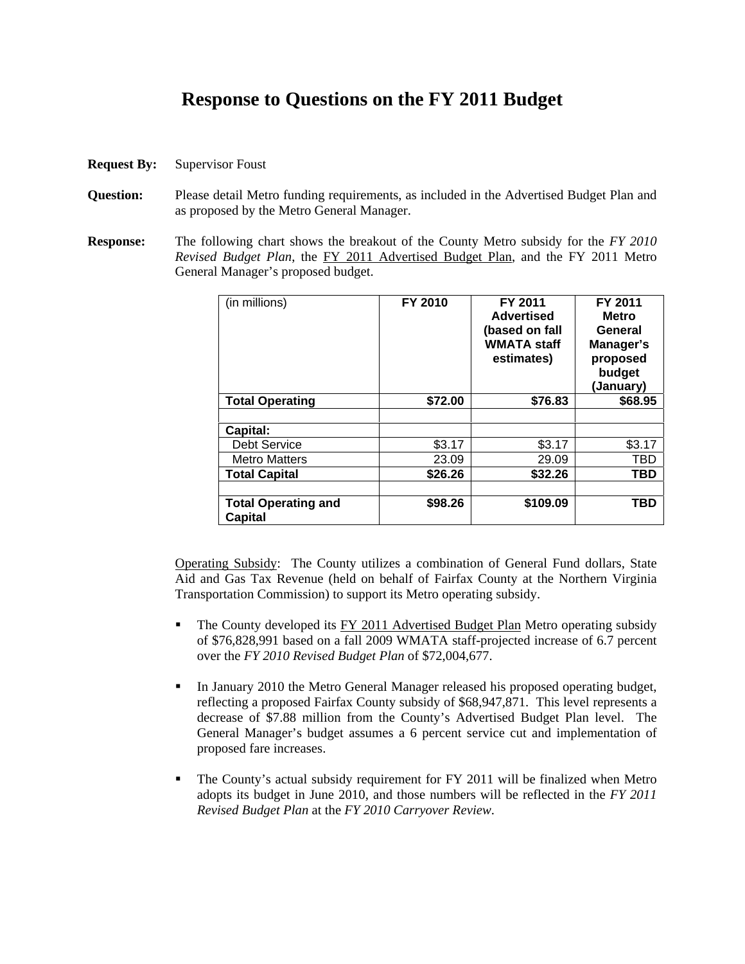## **Response to Questions on the FY 2011 Budget**

- **Request By:** Supervisor Foust
- **Question:** Please detail Metro funding requirements, as included in the Advertised Budget Plan and as proposed by the Metro General Manager.
- **Response:** The following chart shows the breakout of the County Metro subsidy for the *FY 2010 Revised Budget Plan*, the FY 2011 Advertised Budget Plan, and the FY 2011 Metro General Manager's proposed budget.

| (in millions)                                | FY 2010 | FY 2011<br><b>Advertised</b><br>(based on fall<br><b>WMATA staff</b><br>estimates) | FY 2011<br><b>Metro</b><br>General<br>Manager's<br>proposed<br>budget<br>(January) |
|----------------------------------------------|---------|------------------------------------------------------------------------------------|------------------------------------------------------------------------------------|
| <b>Total Operating</b>                       | \$72.00 | \$76.83                                                                            | \$68.95                                                                            |
|                                              |         |                                                                                    |                                                                                    |
| Capital:                                     |         |                                                                                    |                                                                                    |
| <b>Debt Service</b>                          | \$3.17  | \$3.17                                                                             | \$3.17                                                                             |
| <b>Metro Matters</b>                         | 23.09   | 29.09                                                                              | TBD                                                                                |
| <b>Total Capital</b>                         | \$26.26 | \$32.26                                                                            | TBD                                                                                |
|                                              |         |                                                                                    |                                                                                    |
| <b>Total Operating and</b><br><b>Capital</b> | \$98.26 | \$109.09                                                                           | TBD                                                                                |

 Operating Subsidy: The County utilizes a combination of General Fund dollars, State Aid and Gas Tax Revenue (held on behalf of Fairfax County at the Northern Virginia Transportation Commission) to support its Metro operating subsidy.

- The County developed its FY 2011 Advertised Budget Plan Metro operating subsidy of \$76,828,991 based on a fall 2009 WMATA staff-projected increase of 6.7 percent over the *FY 2010 Revised Budget Plan* of \$72,004,677.
- In January 2010 the Metro General Manager released his proposed operating budget, reflecting a proposed Fairfax County subsidy of \$68,947,871. This level represents a decrease of \$7.88 million from the County's Advertised Budget Plan level. The General Manager's budget assumes a 6 percent service cut and implementation of proposed fare increases.
- The County's actual subsidy requirement for FY 2011 will be finalized when Metro adopts its budget in June 2010, and those numbers will be reflected in the *FY 2011 Revised Budget Plan* at the *FY 2010 Carryover Review*.